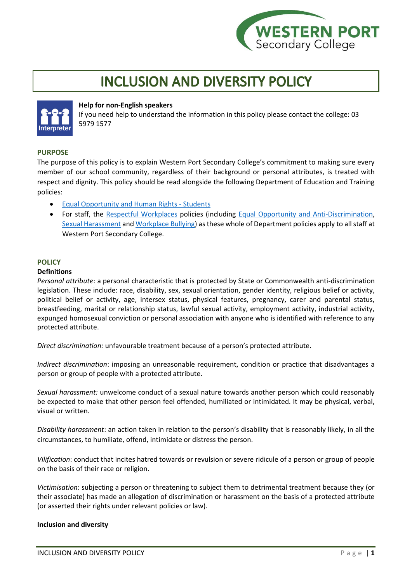

# **INCLUSION AND DIVERSITY POLICY**



### **Help for non-English speakers**

If you need help to understand the information in this policy please contact the college: 03 5979 1577

### **PURPOSE**

The purpose of this policy is to explain Western Port Secondary College's commitment to making sure every member of our school community, regardless of their background or personal attributes, is treated with respect and dignity. This policy should be read alongside the following Department of Education and Training policies:

- [Equal Opportunity and Human Rights -](https://www2.education.vic.gov.au/pal/equal-opportunity-human-rights-students/policy) Students
- For staff, the [Respectful Workplaces](https://www2.education.vic.gov.au/pal/respectful-workplaces/overview) policies (including [Equal Opportunity and Anti-Discrimination,](https://www2.education.vic.gov.au/pal/equal-opportunity/overview) [Sexual Harassment](https://www2.education.vic.gov.au/pal/sexual-harassment/overview) and [Workplace Bullying\)](https://www2.education.vic.gov.au/pal/workplace-bullying/policy) as these whole of Department policies apply to all staff at Western Port Secondary College.

## **POLICY**

#### **Definitions**

*Personal attribute*: a personal characteristic that is protected by State or Commonwealth anti-discrimination legislation. These include: race, disability, sex, sexual orientation, gender identity, religious belief or activity, political belief or activity, age, intersex status, physical features, pregnancy, carer and parental status, breastfeeding, marital or relationship status, lawful sexual activity, employment activity, industrial activity, expunged homosexual conviction or personal association with anyone who is identified with reference to any protected attribute.

*Direct discrimination:* unfavourable treatment because of a person's protected attribute.

*Indirect discrimination*: imposing an unreasonable requirement, condition or practice that disadvantages a person or group of people with a protected attribute.

*Sexual harassment:* unwelcome conduct of a sexual nature towards another person which could reasonably be expected to make that other person feel offended, humiliated or intimidated. It may be physical, verbal, visual or written.

*Disability harassment*: an action taken in relation to the person's disability that is reasonably likely, in all the circumstances, to humiliate, offend, intimidate or distress the person.

*Vilification*: conduct that incites hatred towards or revulsion or severe ridicule of a person or group of people on the basis of their race or religion.

*Victimisation*: subjecting a person or threatening to subject them to detrimental treatment because they (or their associate) has made an allegation of discrimination or harassment on the basis of a protected attribute (or asserted their rights under relevant policies or law).

### **Inclusion and diversity**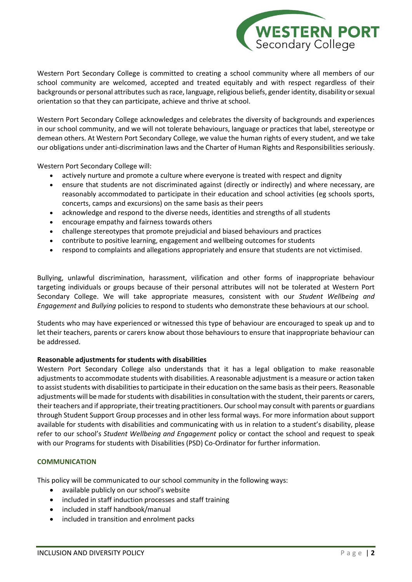

Western Port Secondary College is committed to creating a school community where all members of our school community are welcomed, accepted and treated equitably and with respect regardless of their backgrounds or personal attributes such as race, language, religious beliefs, gender identity, disability or sexual orientation so that they can participate, achieve and thrive at school.

Western Port Secondary College acknowledges and celebrates the diversity of backgrounds and experiences in our school community, and we will not tolerate behaviours, language or practices that label, stereotype or demean others. At Western Port Secondary College, we value the human rights of every student, and we take our obligations under anti-discrimination laws and the Charter of Human Rights and Responsibilities seriously.

Western Port Secondary College will:

- actively nurture and promote a culture where everyone is treated with respect and dignity
- ensure that students are not discriminated against (directly or indirectly) and where necessary, are reasonably accommodated to participate in their education and school activities (eg schools sports, concerts, camps and excursions) on the same basis as their peers
- acknowledge and respond to the diverse needs, identities and strengths of all students
- encourage empathy and fairness towards others
- challenge stereotypes that promote prejudicial and biased behaviours and practices
- contribute to positive learning, engagement and wellbeing outcomes for students
- respond to complaints and allegations appropriately and ensure that students are not victimised.

Bullying, unlawful discrimination, harassment, vilification and other forms of inappropriate behaviour targeting individuals or groups because of their personal attributes will not be tolerated at Western Port Secondary College. We will take appropriate measures, consistent with our *Student Wellbeing and Engagement* and *Bullying* policies to respond to students who demonstrate these behaviours at our school.

Students who may have experienced or witnessed this type of behaviour are encouraged to speak up and to let their teachers, parents or carers know about those behaviours to ensure that inappropriate behaviour can be addressed.

### **Reasonable adjustments for students with disabilities**

Western Port Secondary College also understands that it has a legal obligation to make reasonable adjustments to accommodate students with disabilities. A reasonable adjustment is a measure or action taken to assist students with disabilities to participate in their education on the same basis as their peers. Reasonable adjustments will be made for students with disabilities in consultation with the student, their parents or carers, their teachers and if appropriate, their treating practitioners. Our school may consult with parents or guardians through Student Support Group processes and in other less formal ways. For more information about support available for students with disabilities and communicating with us in relation to a student's disability, please refer to our school's *Student Wellbeing and Engagement* policy or contact the school and request to speak with our Programs for students with Disabilities (PSD) Co-Ordinator for further information.

### **COMMUNICATION**

This policy will be communicated to our school community in the following ways:

- available publicly on our school's website
- included in staff induction processes and staff training
- included in staff handbook/manual
- included in transition and enrolment packs